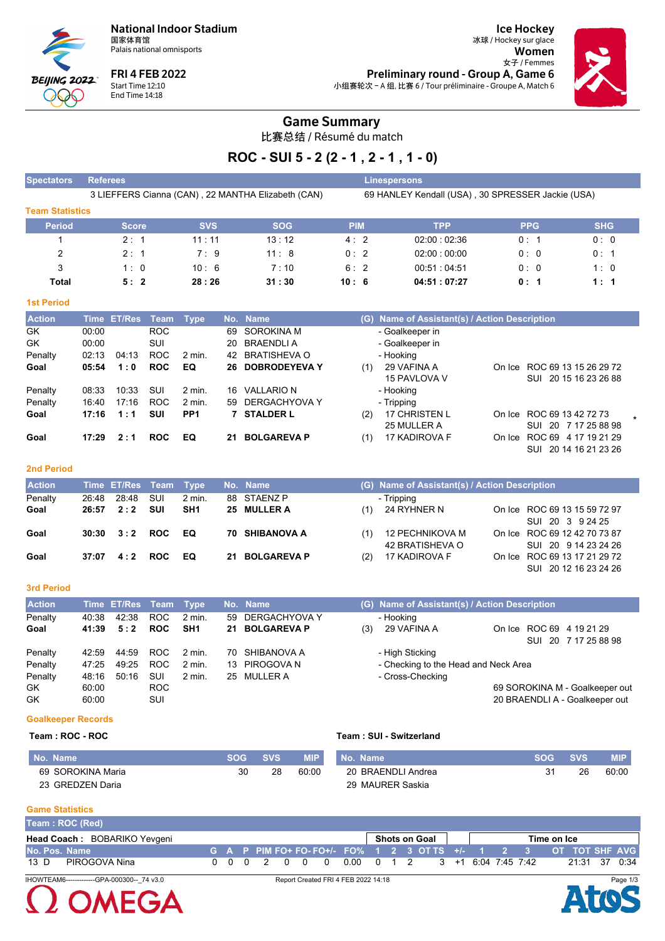**National Indoor Stadium** 国家体育馆

Palais national omnisports



**FRI 4 FEB 2022** Start Time 12:10<br>End Time 14:18

**Ice Hockey** 冰球 / Hockey sur glace Women 女子 / Femmes Preliminary round - Group A, Game 6 小组赛轮次 - A 组, 比赛 6 / Tour préliminaire - Groupe A, Match 6



## **Game Summary**

比赛总结 / Résumé du match

# ROC - SUI 5 - 2 (2 - 1, 2 - 1, 1 - 0)

| <b>Spectators</b>      | <b>Referees</b>                                    |               |            |            | Linespersons                                      |            |            |  |  |  |  |  |  |
|------------------------|----------------------------------------------------|---------------|------------|------------|---------------------------------------------------|------------|------------|--|--|--|--|--|--|
|                        | 3 LIEFFERS Cianna (CAN), 22 MANTHA Elizabeth (CAN) |               |            |            | 69 HANLEY Kendall (USA), 30 SPRESSER Jackie (USA) |            |            |  |  |  |  |  |  |
| <b>Team Statistics</b> |                                                    |               |            |            |                                                   |            |            |  |  |  |  |  |  |
| <b>Period</b>          | <b>Score</b>                                       | <b>SVS</b>    | <b>SOG</b> | <b>PIM</b> | <b>TPP</b>                                        | <b>PPG</b> | <b>SHG</b> |  |  |  |  |  |  |
|                        | $2 \cdot 1$                                        | $11 \cdot 11$ | 13:12      | 4:2        | 02:00:02:36                                       | 0:1        | 0:0        |  |  |  |  |  |  |
| $\overline{2}$         | 2:1                                                | 7:9           | 11:8       | 0:2        | 02:00:00:00                                       | 0:0        | 0:1        |  |  |  |  |  |  |
| 3                      | 1:0                                                | 10:6          | 7:10       | 6:2        | 00.51:04.51                                       | 0:0        | 1:0        |  |  |  |  |  |  |
| Total                  | 5:2                                                | 28:26         | 31:30      | 10:6       | 04:51:07:27                                       | 0:1        | 1:1        |  |  |  |  |  |  |

## **1st Period**

| <b>Action</b> |       | Time ET/Res | Team       | Type              |     | No. Name           |     | (G) Name of Assistant(s) / Action Description |        |                              |  |
|---------------|-------|-------------|------------|-------------------|-----|--------------------|-----|-----------------------------------------------|--------|------------------------------|--|
| GK            | 00:00 |             | ROC.       |                   | 69. | SOROKINA M         |     | - Goalkeeper in                               |        |                              |  |
| GK            | 00:00 |             | SUI        |                   | 20  | BRAENDLI A         |     | - Goalkeeper in                               |        |                              |  |
| Penalty       | 02:13 | 04:13       | ROC.       | 2 min.            | 42  | BRATISHEVA O       |     | - Hooking                                     |        |                              |  |
| Goal          | 05:54 | 1:0         | <b>ROC</b> | EQ                |     | 26 DOBRODEYEVA Y   | (1) | 29 VAFINA A                                   |        | On Ice ROC 69 13 15 26 29 72 |  |
|               |       |             |            |                   |     |                    |     | 15 PAVLOVA V                                  |        | SUI 20 15 16 23 26 88        |  |
| Penalty       | 08:33 | 10:33       | SUI        | 2 min.            | 16  | VALLARIO N         |     | - Hooking                                     |        |                              |  |
| Penalty       | 16:40 | 17:16       | <b>ROC</b> | $2 \text{ min}$ . | 59  | DERGACHYOVA Y      |     | - Tripping                                    |        |                              |  |
| Goal          | 17:16 | 1:1         | <b>SUI</b> | PP <sub>1</sub>   |     | 7 STALDER L        | (2) | <b>17 CHRISTEN L</b>                          |        | On Ice ROC 69 13 42 72 73    |  |
|               |       |             |            |                   |     |                    |     | 25 MULLER A                                   |        | SUI 20 7 17 25 88 98         |  |
| Goal          | 17:29 | 2:1         | <b>ROC</b> | EQ                | 21  | <b>BOLGAREVA P</b> | (1) | 17 KADIROVA F                                 | On Ice | ROC 69 4 17 19 21 29         |  |
|               |       |             |            |                   |     |                    |     |                                               |        | SUI 20 14 16 21 23 26        |  |

#### **2nd Period**

| <b>Action</b> |       | Time ET/Res Team Type |     |          | No. Name              |     | (G) Name of Assistant(s) / Action Description |                                                       |
|---------------|-------|-----------------------|-----|----------|-----------------------|-----|-----------------------------------------------|-------------------------------------------------------|
| Penalty       | 26:48 | 28:48                 | sui | $2$ min. | 88 STAENZ P           |     | - Tripping                                    |                                                       |
| Goal          |       | $26:57$ $2:2$         | sul | SH1      | 25 MULLER A           | (1) | 24 RYHNER N                                   | On Ice ROC 69 13 15 59 72 97<br>SUI 20 3 9 24 25      |
| Goal          |       | $30:30 \t3:2 \tROC$   |     | EQ       | <b>70 SHIBANOVA A</b> | (1) | 12 PECHNIKOVA M<br>42 BRATISHEVA O            | On Ice ROC 69 12 42 70 73 87<br>SUI 20 9 14 23 24 26  |
| Goal          | 37:07 | 4:2                   | ROC | EQ.      | 21 BOLGAREVA P        | (2) | 17 KADIROVA F                                 | On Ice ROC 69 13 17 21 29 72<br>SUI 20 12 16 23 24 26 |

#### 3rd Period

| <b>Action</b> |       | Time ET/Res Team Type |            |                   | No. Name         |     | (G) Name of Assistant(s) / Action Description |  |                                |  |
|---------------|-------|-----------------------|------------|-------------------|------------------|-----|-----------------------------------------------|--|--------------------------------|--|
| Penalty       | 40.38 | 42:38                 | <b>ROC</b> | $2$ min.          | 59 DERGACHYOVA Y |     | - Hookina                                     |  |                                |  |
| Goal          | 41:39 | 5:2                   | <b>ROC</b> | SH <sub>1</sub>   | 21 BOLGAREVA P   | (3) | 29 VAFINA A                                   |  | On Ice ROC 69 4 19 21 29       |  |
|               |       |                       |            |                   |                  |     |                                               |  | SUI 20 7 17 25 88 98           |  |
| Penalty       | 42.59 | 44:59                 | ROC.       | 2 min.            | 70 SHIBANOVA A   |     | - High Sticking                               |  |                                |  |
| Penalty       | 47:25 | 49:25                 | <b>ROC</b> | $2 \text{ min}$ . | 13 PIROGOVA N    |     | - Checking to the Head and Neck Area          |  |                                |  |
| Penalty       | 48:16 | 50:16                 | SUI        | 2 min.            | 25 MULLER A      |     | - Cross-Checking                              |  |                                |  |
| GK.           | 60:00 |                       | ROC        |                   |                  |     |                                               |  | 69 SOROKINA M - Goalkeeper out |  |
| GK            | 60:00 |                       | SUI        |                   |                  |     |                                               |  | 20 BRAENDLI A - Goalkeeper out |  |

## **Goalkeeper Records**

#### Team: ROC - ROC

#### Team: SUI - Switzerland

| No. Name          | SOG | <b>SVS</b> | <b>MIP</b> | No. Name           | <b>SOG</b> | <b>SVS</b> | <b>MIP</b> |
|-------------------|-----|------------|------------|--------------------|------------|------------|------------|
| 69 SOROKINA Maria | 30  | 28         | 60:00      | 20 BRAENDLI Andrea |            | 26         | 60:00      |
| 23 GREDZEN Daria  |     |            |            | 29 MAURER Saskia   |            |            |            |

#### **Game Statistics**

 $\Omega$  OMEGA

| Team: ROC (Red)                            |  |  |  |                                     |  |               |  |  |                                                                   |             |               |          |
|--------------------------------------------|--|--|--|-------------------------------------|--|---------------|--|--|-------------------------------------------------------------------|-------------|---------------|----------|
| Head Coach: BOBARIKO Yevgeni               |  |  |  |                                     |  | Shots on Goal |  |  |                                                                   | Time on Ice |               |          |
| No. Pos. Name                              |  |  |  |                                     |  |               |  |  | (G A P PIM FO+ FO- FO+/- FO% 1 2 3 OT TS +/- 1 2 3 OT TOT SHF AVG |             |               |          |
| PIROGOVA Nina<br>13 D                      |  |  |  |                                     |  |               |  |  | 0 0 0 2 0 0 0 0 00 0 1 2 3 +1 6:04 7:45 7:42                      |             | 21:31 37 0:34 |          |
| IHOWTEAM6-------------GPA-000300-- 74 v3.0 |  |  |  | Report Created FRI 4 FEB 2022 14:18 |  |               |  |  |                                                                   |             |               | Page 1/3 |

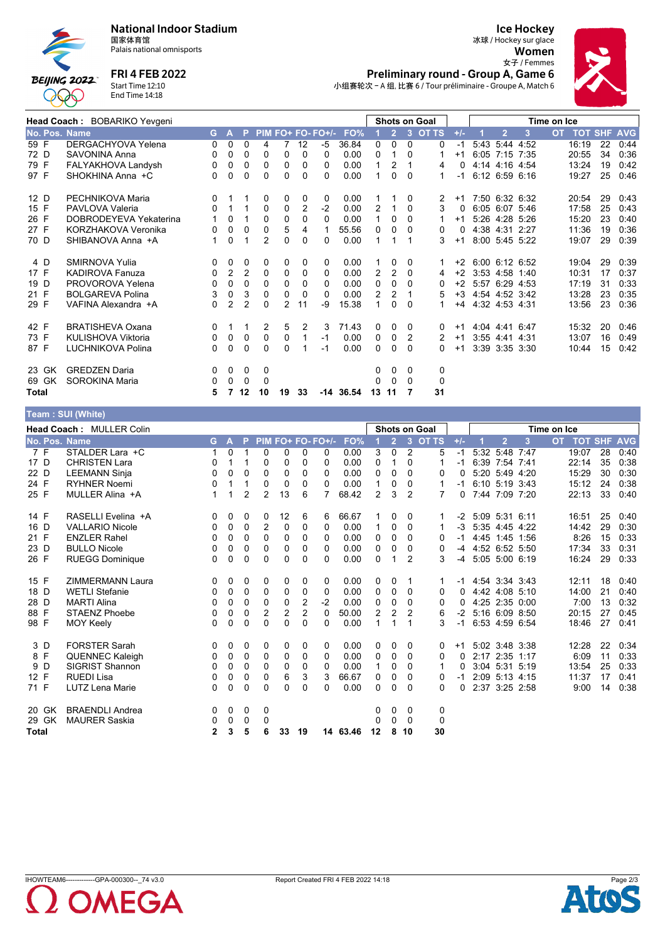

 $T<sub>com</sub> \cdot \text{CIII}$  (Mhito)

#### **National Indoor Stadium**

国家体育馆 Palais national omnisports

**FRI 4 FEB 2022** 

Start Time 12:10<br>End Time 14:18

## **Ice Hockey** 冰球 / Hockey sur glace Women 女子 / Femmes Preliminary round - Group A, Game 6



小组赛轮次 - A 组, 比赛 6 / Tour préliminaire - Groupe A, Match 6

|               | Head Coach: BOBARIKO Yevgeni |   |                |                |              |          | <b>Shots on Goal</b> |                   |       | Time on Ice    |                |              |         |          |      |                |                |           |                    |    |      |
|---------------|------------------------------|---|----------------|----------------|--------------|----------|----------------------|-------------------|-------|----------------|----------------|--------------|---------|----------|------|----------------|----------------|-----------|--------------------|----|------|
| No. Pos. Name |                              |   | G A            | P.             |              |          |                      | PIM FO+ FO- FO+/- | FO%   |                | $\overline{2}$ |              | 3 OT TS | $+/-$    |      | $\overline{2}$ | 3              | <b>OT</b> | <b>TOT SHF AVG</b> |    |      |
| 59 F          | DERGACHYOVA Yelena           | 0 | 0              | 0              | 4            |          | 12                   | -5                | 36.84 | 0              | $\Omega$       | $\Omega$     | 0       | $-1$     |      | 5:43 5:44 4:52 |                |           | 16:19              | 22 | 0:44 |
| 72 D          | SAVONINA Anna                | 0 | 0              | 0              | 0            | 0        | 0                    | $\Omega$          | 0.00  | 0              |                | $\Omega$     |         | $+1$     |      |                | 6:05 7:15 7:35 |           | 20:55              | 34 | 0:36 |
| 79 F          | FALYAKHOVA Landysh           | 0 | 0              | 0              | 0            | 0        | 0                    | 0                 | 0.00  | 1              | 2              |              | 4       | 0        |      |                | 4:14 4:16 4:54 |           | 13:24              | 19 | 0:42 |
| 97 F          | SHOKHINA Anna +C             | 0 | 0              | 0              | 0            | 0        | 0                    | 0                 | 0.00  | 1              | 0              | $\Omega$     | 1       | $-1$     |      |                | 6:12 6:59 6:16 |           | 19:27              | 25 | 0:46 |
| 12 D          | PECHNIKOVA Maria             | 0 |                |                | 0            | 0        | 0                    | 0                 | 0.00  |                |                | 0            | 2       | $+1$     |      |                | 7:50 6:32 6:32 |           | 20:54              | 29 | 0:43 |
| 15 F          | PAVLOVA Valeria              | 0 | 1              |                | 0            | 0        | 2                    | $-2$              | 0.00  | 2              |                | $\Omega$     | 3       | $\Omega$ |      |                | 6.05 6.07 5:46 |           | 17:58              | 25 | 0:43 |
| 26 F          | DOBRODEYEVA Yekaterina       |   | 0              |                | $\mathbf{0}$ | 0        | 0                    | 0                 | 0.00  | 1              | 0              | $\Omega$     |         | $+1$     |      |                | 5:26 4:28 5:26 |           | 15:20              | 23 | 0:40 |
| 27 F          | KORZHAKOVA Veronika          | 0 | 0              | 0              | $\Omega$     | 5        | 4                    |                   | 55.56 | 0              | 0              | $\Omega$     | 0       | 0        |      | 4:38 4:31 2:27 |                |           | 11:36              | 19 | 0:36 |
| 70 D          | SHIBANOVA Anna +A            |   | 0              | 1              | 2            | 0        | 0                    | 0                 | 0.00  |                |                |              | 3       | $+1$     |      |                | 8:00 5:45 5:22 |           | 19:07              | 29 | 0:39 |
| 4 D           | <b>SMIRNOVA Yulia</b>        | 0 | 0              | 0              | 0            | 0        | 0                    | 0                 | 0.00  |                | 0              | 0            |         | $+2$     |      |                | 6:00 6:12 6:52 |           | 19:04              | 29 | 0:39 |
| 17 F          | <b>KADIROVA Fanuza</b>       | 0 | $\overline{2}$ | $\overline{2}$ | 0            | 0        | 0                    | $\Omega$          | 0.00  | $\overline{2}$ | 2              | $\Omega$     | 4       | $+2$     |      | 3:53 4:58      | 1:40           |           | 10:31              | 17 | 0:37 |
| 19 D          | PROVOROVA Yelena             | 0 | $\Omega$       | $\Omega$       | $\Omega$     | $\Omega$ | 0                    | 0                 | 0.00  | 0              | 0              | <sup>0</sup> | 0       | $+2$     |      | 5.57 6.29 4.53 |                |           | 17:19              | 31 | 0:33 |
| 21 F          | <b>BOLGAREVA Polina</b>      | 3 | 0              | 3              | 0            | 0        | 0                    | 0                 | 0.00  | $\overline{2}$ | 2              |              | 5       | $+3$     |      |                | 4:54 4:52 3:42 |           | 13:28              | 23 | 0:35 |
| 29 F          | VAFINA Alexandra +A          | 0 | $\overline{2}$ | $\overline{2}$ | $\Omega$     | 2        | 11                   | -9                | 15.38 | 1              | 0              | $\Omega$     | 1       | $+4$     |      | 4:32 4:53 4:31 |                |           | 13:56              | 23 | 0:36 |
| 42 F          | <b>BRATISHEVA Oxana</b>      | 0 |                |                | 2            | 5        | 2                    | 3                 | 71.43 | 0              | 0              | 0            | 0       | $+1$     |      | 4:04 4:41 6:47 |                |           | 15:32              | 20 | 0:46 |
| 73 F          | KULISHOVA Viktoria           | 0 | 0              | 0              | 0            | 0        | 1                    | $-1$              | 0.00  | 0              | 0              | 2            | 2       | $+1$     |      | $3:55$ 4:41    | 4:31           |           | 13:07              | 16 | 0.49 |
| 87 F          | LUCHNIKOVA Polina            | 0 | 0              | $\Omega$       | $\Omega$     | $\Omega$ |                      | $-1$              | 0.00  | 0              | 0              | $\Omega$     | 0       | $+1$     | 3:39 | 3:35           | 3:30           |           | 10:44              | 15 | 0:42 |
| 23 GK         | <b>GREDZEN Daria</b>         | 0 | 0              | 0              | 0            |          |                      |                   |       | 0              | 0              | 0            | 0       |          |      |                |                |           |                    |    |      |
| 69 GK         | SOROKINA Maria               | 0 | 0              | $\Omega$       | $\Omega$     |          |                      |                   |       | 0              | $\Omega$       | 0            | 0       |          |      |                |                |           |                    |    |      |
| <b>Total</b>  |                              | 5 | 7              | 12             | 10           | 19       | 33                   | -14               | 36.54 | 13             | 11             |              | 31      |          |      |                |                |           |                    |    |      |

|               | $1$ vani , OOI (Trinto)         |                |          |                |                |                |                |                   |          |                |                |                |                |       |                |                |                |             |                |    |            |
|---------------|---------------------------------|----------------|----------|----------------|----------------|----------------|----------------|-------------------|----------|----------------|----------------|----------------|----------------|-------|----------------|----------------|----------------|-------------|----------------|----|------------|
|               | <b>Head Coach: MULLER Colin</b> |                |          |                |                |                |                |                   |          |                |                |                | Shots on Goal  |       |                |                |                | Time on Ice |                |    |            |
| No. Pos. Name |                                 | G.             | A        |                |                |                |                | PIM FO+ FO- FO+/- | FO%      |                | $\overline{2}$ | $\overline{3}$ | <b>OT TS</b>   | $+/-$ |                | $\overline{2}$ | $\overline{3}$ | <b>OT</b>   | <b>TOT SHF</b> |    | <b>AVG</b> |
| 7 F           | STALDER Lara +C                 | 1              | 0        |                | 0              | $\Omega$       | 0              | 0                 | 0.00     | 3              | $\Omega$       | 2              | 5              | $-1$  |                | 5:32 5:48 7:47 |                |             | 19:07          | 28 | 0:40       |
| 17 D          | <b>CHRISTEN Lara</b>            | 0              | 1        |                | 0              | 0              | $\Omega$       | $\Omega$          | 0.00     | 0              |                | $\Omega$       |                | -1    |                | 6:39 7:54 7:41 |                |             | 22:14          | 35 | 0:38       |
| 22 D          | <b>LEEMANN Sinja</b>            | 0              | $\Omega$ | $\Omega$       | 0              | 0              | 0              | 0                 | 0.00     | 0              | 0              | 0              | 0              | 0     |                | 5:20 5:49 4:20 |                |             | 15:29          | 30 | 0:30       |
| 24 F          | <b>RYHNER Noemi</b>             | 0              | 1        |                | 0              | $\Omega$       | $\Omega$       | $\Omega$          | 0.00     |                | 0              | 0              |                | -1    |                | 6:10 5:19 3:43 |                |             | 15:12          | 24 | 0:38       |
| 25 F          | MULLER Alina +A                 | $\mathbf{1}$   | 1        | $\overline{2}$ | $\overline{2}$ | 13             | 6              | 7                 | 68.42    | 2              | 3              | $\overline{2}$ | $\overline{7}$ | 0     |                | 7:44 7:09 7:20 |                |             | 22:13          | 33 | 0:40       |
| 14 F          | RASELLI Evelina +A              | 0              | 0        | 0              | 0              | 12             | 6              | 6                 | 66.67    |                | 0              | 0              |                | -2    |                | 5:09 5:31 6:11 |                |             | 16:51          | 25 | 0:40       |
| 16 D          | <b>VALLARIO Nicole</b>          | 0              | 0        | 0              | 2              | 0              | 0              | 0                 | 0.00     |                | 0              | $\Omega$       | $\mathbf 1$    | $-3$  |                | 5:35 4:45 4:22 |                |             | 14:42          | 29 | 0:30       |
| 21 F          | <b>ENZLER Rahel</b>             | 0              | 0        | 0              | $\Omega$       | 0              | 0              | $\Omega$          | 0.00     | $\Omega$       | 0              | 0              | 0              | $-1$  |                | 4:45 1:45 1:56 |                |             | 8:26           | 15 | 0:33       |
| 23 D          | <b>BULLO Nicole</b>             | 0              | 0        | 0              | 0              | 0              | 0              | 0                 | 0.00     | $\Omega$       | 0              | 0              | 0              | $-4$  |                | 4:52 6:52 5:50 |                |             | 17:34          | 33 | 0:31       |
| 26 F          | <b>RUEGG Dominique</b>          | 0              | 0        | 0              | 0              | $\Omega$       | 0              | $\Omega$          | 0.00     | 0              | 1              | 2              | 3              | $-4$  | 5:05 5:00 6:19 |                |                |             | 16:24          | 29 | 0:33       |
| 15 F          | <b>ZIMMERMANN Laura</b>         | 0              | 0        | 0              | 0              | 0              | 0              | 0                 | 0.00     | 0              | 0              |                |                | -1    |                | 4:54 3:34 3:43 |                |             | 12:11          | 18 | 0:40       |
| 18 D          | <b>WETLI Stefanie</b>           | 0              | 0        | 0              | 0              | 0              | 0              | 0                 | 0.00     | 0              | 0              | $\Omega$       | 0              | 0     |                | 4:42 4:08 5:10 |                |             | 14:00          | 21 | 0:40       |
| 28 D          | <b>MARTI Alina</b>              | 0              | 0        | 0              | 0              | 0              | $\overline{2}$ | $-2$              | 0.00     | 0              | 0              | 0              | 0              | 0     |                | 4:25 2:35 0:00 |                |             | 7:00           | 13 | 0:32       |
| 88 F          | <b>STAENZ Phoebe</b>            | 0              | 0        | 0              | $\overline{2}$ | $\overline{2}$ | $\overline{2}$ | 0                 | 50.00    | $\overline{2}$ | $\overline{2}$ | 2              | 6              | $-2$  |                | 5:16 6:09 8:50 |                |             | 20:15          | 27 | 0:45       |
| 98 F          | <b>MOY Keely</b>                | 0              | $\Omega$ | $\Omega$       | 0              | 0              | 0              | $\Omega$          | 0.00     | 1              | 1              |                | 3              | $-1$  |                | 6:53 4:59 6:54 |                |             | 18:46          | 27 | 0:41       |
| 3 D           | <b>FORSTER Sarah</b>            | 0              | 0        | 0              | 0              | 0              | 0              | 0                 | 0.00     | 0              | 0              | 0              | 0              | $+1$  |                | 5:02 3:48 3:38 |                |             | 12:28          | 22 | 0:34       |
| 8 F           | <b>QUENNEC Kaleigh</b>          | 0              | 0        | 0              | 0              | 0              | 0              | 0                 | 0.00     | $\Omega$       | 0              | 0              | 0              | 0     |                | 2:17 2:35      | 1:17           |             | 6:09           | 11 | 0:33       |
| D<br>9        | <b>SIGRIST Shannon</b>          | 0              | 0        | 0              | 0              | $\mathbf 0$    | 0              | $\Omega$          | 0.00     | $\overline{1}$ | 0              | 0              |                | 0     |                | 3:04 5:31 5:19 |                |             | 13:54          | 25 | 0:33       |
| 12 F          | <b>RUEDI Lisa</b>               | 0              | 0        | 0              | 0              | 6              | 3              | 3                 | 66.67    | 0              | 0              | 0              | 0              | $-1$  |                | 2:09 5:13 4:15 |                |             | 11:37          | 17 | 0:41       |
| 71 F          | <b>LUTZ Lena Marie</b>          | 0              | 0        | 0              | 0              | 0              | 0              | $\Omega$          | 0.00     | 0              | 0              | 0              | 0              | 0     |                | 2:37 3:25 2:58 |                |             | 9:00           | 14 | 0:38       |
| 20 GK         | <b>BRAENDLI Andrea</b>          | 0              | 0        | 0              | 0              |                |                |                   |          | 0              | 0              | 0              | 0              |       |                |                |                |             |                |    |            |
| 29 GK         | <b>MAURER Saskia</b>            | 0              | 0        | 0              | 0              |                |                |                   |          | 0              | 0              | $\Omega$       | 0              |       |                |                |                |             |                |    |            |
| <b>Total</b>  |                                 | $\overline{2}$ | 3        | 5              | 6              | 33             | 19             |                   | 14 63.46 | 12             | 8              | 10             | 30             |       |                |                |                |             |                |    |            |